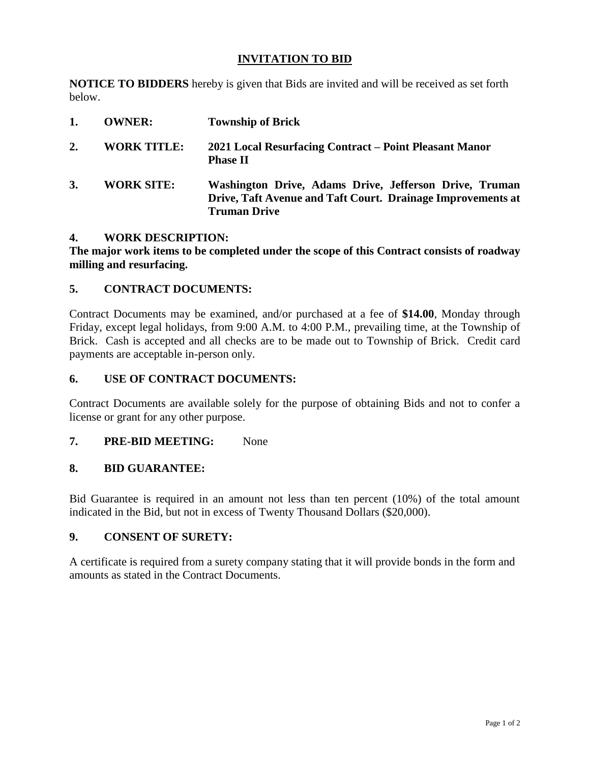## **INVITATION TO BID**

**NOTICE TO BIDDERS** hereby is given that Bids are invited and will be received as set forth below.

| 1. | <b>OWNER:</b>      | <b>Township of Brick</b>                                                                                                                     |
|----|--------------------|----------------------------------------------------------------------------------------------------------------------------------------------|
| 2. | <b>WORK TITLE:</b> | 2021 Local Resurfacing Contract – Point Pleasant Manor<br><b>Phase II</b>                                                                    |
| 3. | <b>WORK SITE:</b>  | Washington Drive, Adams Drive, Jefferson Drive, Truman<br>Drive, Taft Avenue and Taft Court. Drainage Improvements at<br><b>Truman Drive</b> |

## **4. WORK DESCRIPTION:**

**The major work items to be completed under the scope of this Contract consists of roadway milling and resurfacing.**

### **5. CONTRACT DOCUMENTS:**

Contract Documents may be examined, and/or purchased at a fee of **\$14.00**, Monday through Friday, except legal holidays, from 9:00 A.M. to 4:00 P.M., prevailing time, at the Township of Brick. Cash is accepted and all checks are to be made out to Township of Brick. Credit card payments are acceptable in-person only.

### **6. USE OF CONTRACT DOCUMENTS:**

Contract Documents are available solely for the purpose of obtaining Bids and not to confer a license or grant for any other purpose.

### **7. PRE-BID MEETING:** None

## **8. BID GUARANTEE:**

Bid Guarantee is required in an amount not less than ten percent (10%) of the total amount indicated in the Bid, but not in excess of Twenty Thousand Dollars (\$20,000).

#### **9. CONSENT OF SURETY:**

A certificate is required from a surety company stating that it will provide bonds in the form and amounts as stated in the Contract Documents.